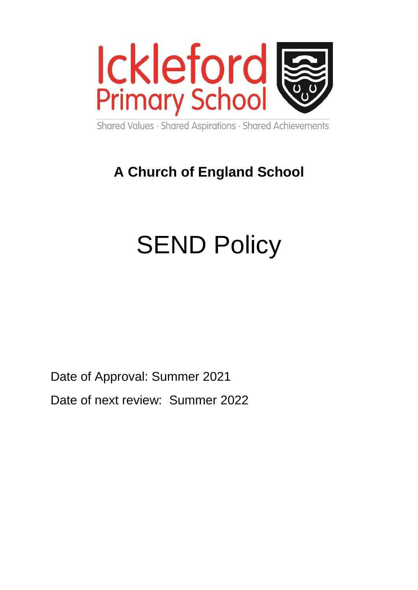

Shared Values · Shared Aspirations · Shared Achievements

# **A Church of England School**

# **SEND Policy**

Date of Approval: Summer 2021

Date of next review: Summer 2022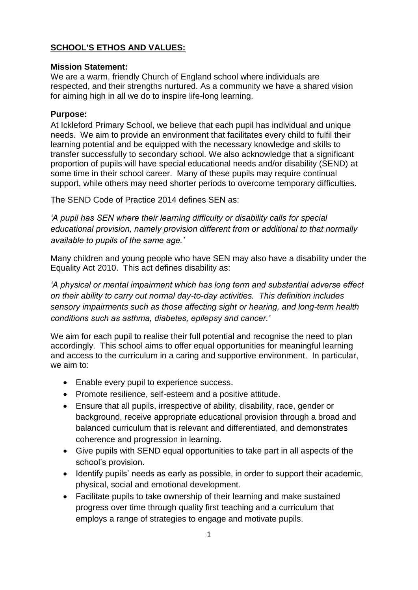# **[SCHOOL'S ETHOS AND VALUES:](http://ickleford.herts.sch.uk/images/school_based_complaints_policy_and_procedures.pdf)**

## **Mission Statement:**

We are a warm, friendly Church of England school where individuals are respected, and their strengths nurtured. As a community we have a shared vision for aiming high in all we do to inspire life-long learning.

## **Purpose:**

At Ickleford Primary School, we believe that each pupil has individual and unique needs. We aim to provide an environment that facilitates every child to fulfil their learning potential and be equipped with the necessary knowledge and skills to transfer successfully to secondary school. We also acknowledge that a significant proportion of pupils will have special educational needs and/or disability (SEND) at some time in their school career. Many of these pupils may require continual support, while others may need shorter periods to overcome temporary difficulties.

The SEND Code of Practice 2014 defines SEN as:

*'A pupil has SEN where their learning difficulty or disability calls for special educational provision, namely provision different from or additional to that normally available to pupils of the same age.'*

Many children and young people who have SEN may also have a disability under the Equality Act 2010. This act defines disability as:

*'A physical or mental impairment which has long term and substantial adverse effect on their ability to carry out normal day-to-day activities. This definition includes sensory impairments such as those affecting sight or hearing, and long-term health conditions such as asthma, diabetes, epilepsy and cancer.'*

We aim for each pupil to realise their full potential and recognise the need to plan accordingly. This school aims to offer equal opportunities for meaningful learning and access to the curriculum in a caring and supportive environment. In particular, we aim to:

- Enable every pupil to experience success.
- Promote resilience, self-esteem and a positive attitude.
- Ensure that all pupils, irrespective of ability, disability, race, gender or background, receive appropriate educational provision through a broad and balanced curriculum that is relevant and differentiated, and demonstrates coherence and progression in learning.
- Give pupils with SEND equal opportunities to take part in all aspects of the school's provision.
- Identify pupils' needs as early as possible, in order to support their academic, physical, social and emotional development.
- Facilitate pupils to take ownership of their learning and make sustained progress over time through quality first teaching and a curriculum that employs a range of strategies to engage and motivate pupils.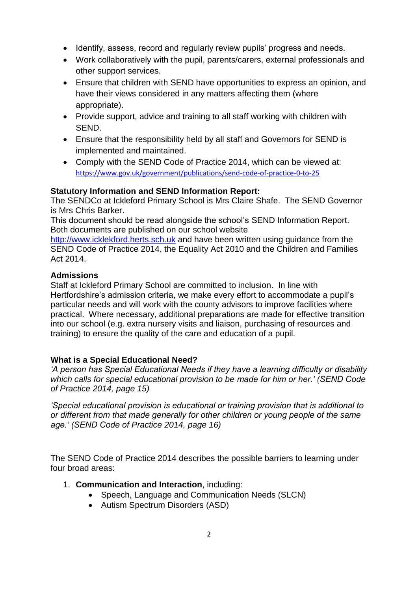- Identify, assess, record and regularly review pupils' progress and needs.
- Work collaboratively with the pupil, parents/carers, external professionals and other support services.
- Ensure that children with SEND have opportunities to express an opinion, and have their views considered in any matters affecting them (where appropriate).
- Provide support, advice and training to all staff working with children with SEND.
- Ensure that the responsibility held by all staff and Governors for SEND is implemented and maintained.
- Comply with the SEND Code of Practice 2014, which can be viewed at: <https://www.gov.uk/government/publications/send-code-of-practice-0-to-25>

# **Statutory Information and SEND Information Report:**

The SENDCo at Ickleford Primary School is Mrs Claire Shafe. The SEND Governor is Mrs Chris Barker.

This document should be read alongside the school's SEND Information Report. Both documents are published on our school website

[http://www.icklekford.herts.sch.uk](http://www.icklekford.herts.sch.uk/) and have been written using guidance from the SEND Code of Practice 2014, the Equality Act 2010 and the Children and Families Act 2014.

## **Admissions**

Staff at Ickleford Primary School are committed to inclusion. In line with Hertfordshire's admission criteria, we make every effort to accommodate a pupil's particular needs and will work with the county advisors to improve facilities where practical. Where necessary, additional preparations are made for effective transition into our school (e.g. extra nursery visits and liaison, purchasing of resources and training) to ensure the quality of the care and education of a pupil.

## **What is a Special Educational Need?**

*'A person has Special Educational Needs if they have a learning difficulty or disability which calls for special educational provision to be made for him or her.' (SEND Code of Practice 2014, page 15)*

*'Special educational provision is educational or training provision that is additional to or different from that made generally for other children or young people of the same age.' (SEND Code of Practice 2014, page 16)*

The SEND Code of Practice 2014 describes the possible barriers to learning under four broad areas:

- 1. **Communication and Interaction**, including:
	- Speech, Language and Communication Needs (SLCN)
	- Autism Spectrum Disorders (ASD)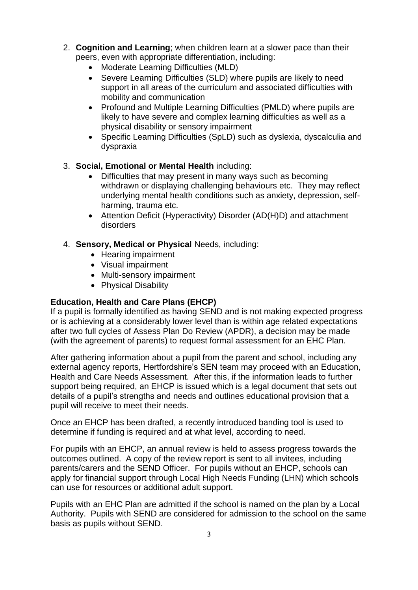- 2. **Cognition and Learning**; when children learn at a slower pace than their peers, even with appropriate differentiation, including:
	- Moderate Learning Difficulties (MLD)
	- Severe Learning Difficulties (SLD) where pupils are likely to need support in all areas of the curriculum and associated difficulties with mobility and communication
	- Profound and Multiple Learning Difficulties (PMLD) where pupils are likely to have severe and complex learning difficulties as well as a physical disability or sensory impairment
	- Specific Learning Difficulties (SpLD) such as dyslexia, dyscalculia and dyspraxia

# 3. **Social, Emotional or Mental Health** including:

- Difficulties that may present in many ways such as becoming withdrawn or displaying challenging behaviours etc. They may reflect underlying mental health conditions such as anxiety, depression, selfharming, trauma etc.
- Attention Deficit (Hyperactivity) Disorder (AD(H)D) and attachment disorders
- 4. **Sensory, Medical or Physical** Needs, including:
	- Hearing impairment
	- Visual impairment
	- Multi-sensory impairment
	- Physical Disability

# **Education, Health and Care Plans (EHCP)**

If a pupil is formally identified as having SEND and is not making expected progress or is achieving at a considerably lower level than is within age related expectations after two full cycles of Assess Plan Do Review (APDR), a decision may be made (with the agreement of parents) to request formal assessment for an EHC Plan.

After gathering information about a pupil from the parent and school, including any external agency reports, Hertfordshire's SEN team may proceed with an Education, Health and Care Needs Assessment. After this, if the information leads to further support being required, an EHCP is issued which is a legal document that sets out details of a pupil's strengths and needs and outlines educational provision that a pupil will receive to meet their needs.

Once an EHCP has been drafted, a recently introduced banding tool is used to determine if funding is required and at what level, according to need.

For pupils with an EHCP, an annual review is held to assess progress towards the outcomes outlined. A copy of the review report is sent to all invitees, including parents/carers and the SEND Officer. For pupils without an EHCP, schools can apply for financial support through Local High Needs Funding (LHN) which schools can use for resources or additional adult support.

Pupils with an EHC Plan are admitted if the school is named on the plan by a Local Authority. Pupils with SEND are considered for admission to the school on the same basis as pupils without SEND.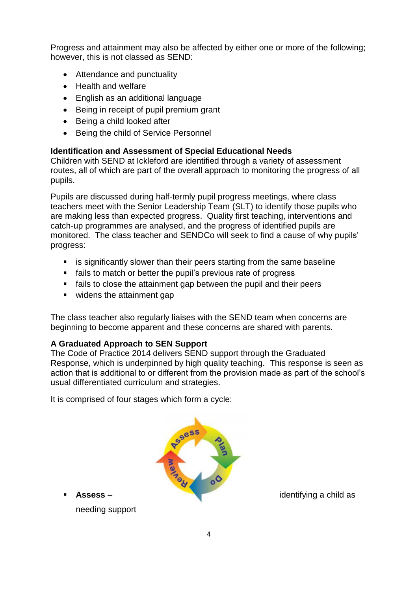Progress and attainment may also be affected by either one or more of the following; however, this is not classed as SEND:

- Attendance and punctuality
- Health and welfare
- English as an additional language
- Being in receipt of pupil premium grant
- Being a child looked after
- Being the child of Service Personnel

## **Identification and Assessment of Special Educational Needs**

Children with SEND at Ickleford are identified through a variety of assessment routes, all of which are part of the overall approach to monitoring the progress of all pupils.

Pupils are discussed during half-termly pupil progress meetings, where class teachers meet with the Senior Leadership Team (SLT) to identify those pupils who are making less than expected progress. Quality first teaching, interventions and catch-up programmes are analysed, and the progress of identified pupils are monitored. The class teacher and SENDCo will seek to find a cause of why pupils' progress:

- **EXTER** is significantly slower than their peers starting from the same baseline
- fails to match or better the pupil's previous rate of progress
- fails to close the attainment gap between the pupil and their peers
- widens the attainment gap

The class teacher also regularly liaises with the SEND team when concerns are beginning to become apparent and these concerns are shared with parents.

## **A Graduated Approach to SEN Support**

The Code of Practice 2014 delivers SEND support through the Graduated Response, which is underpinned by high quality teaching. This response is seen as action that is additional to or different from the provision made as part of the school's usual differentiated curriculum and strategies.

It is comprised of four stages which form a cycle:



needing support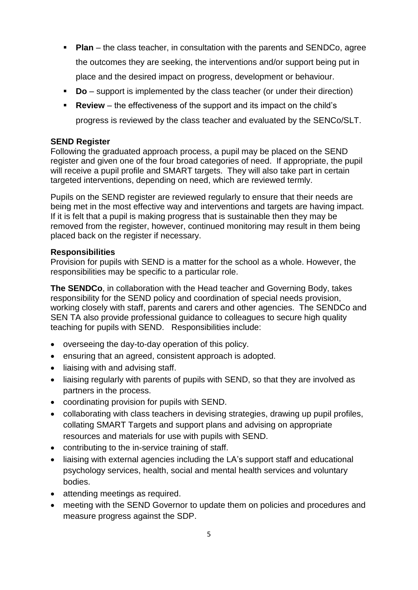- **Plan** the class teacher, in consultation with the parents and SENDCo, agree the outcomes they are seeking, the interventions and/or support being put in place and the desired impact on progress, development or behaviour.
- **Do** support is implemented by the class teacher (or under their direction)
- **Review** the effectiveness of the support and its impact on the child's progress is reviewed by the class teacher and evaluated by the SENCo/SLT.

# **SEND Register**

Following the graduated approach process, a pupil may be placed on the SEND register and given one of the four broad categories of need. If appropriate, the pupil will receive a pupil profile and SMART targets. They will also take part in certain targeted interventions, depending on need, which are reviewed termly.

Pupils on the SEND register are reviewed regularly to ensure that their needs are being met in the most effective way and interventions and targets are having impact. If it is felt that a pupil is making progress that is sustainable then they may be removed from the register, however, continued monitoring may result in them being placed back on the register if necessary.

# **Responsibilities**

Provision for pupils with SEND is a matter for the school as a whole. However, the responsibilities may be specific to a particular role.

**The SENDCo**, in collaboration with the Head teacher and Governing Body, takes responsibility for the SEND policy and coordination of special needs provision, working closely with staff, parents and carers and other agencies. The SENDCo and SEN TA also provide professional guidance to colleagues to secure high quality teaching for pupils with SEND. Responsibilities include:

- overseeing the day-to-day operation of this policy.
- ensuring that an agreed, consistent approach is adopted.
- liaising with and advising staff.
- liaising regularly with parents of pupils with SEND, so that they are involved as partners in the process.
- coordinating provision for pupils with SEND.
- collaborating with class teachers in devising strategies, drawing up pupil profiles, collating SMART Targets and support plans and advising on appropriate resources and materials for use with pupils with SEND.
- contributing to the in-service training of staff.
- liaising with external agencies including the LA's support staff and educational psychology services, health, social and mental health services and voluntary bodies.
- attending meetings as required.
- meeting with the SEND Governor to update them on policies and procedures and measure progress against the SDP.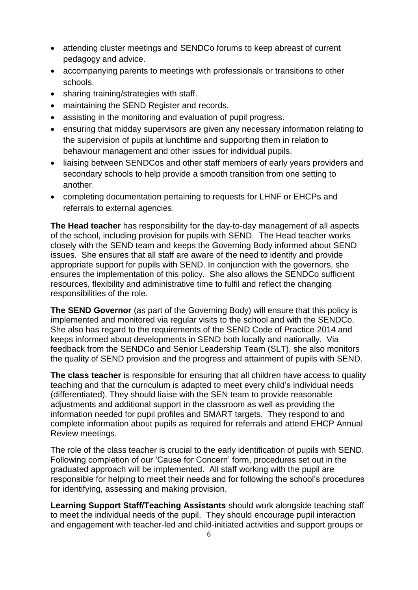- attending cluster meetings and SENDCo forums to keep abreast of current pedagogy and advice.
- accompanying parents to meetings with professionals or transitions to other schools.
- sharing training/strategies with staff.
- maintaining the SEND Register and records.
- assisting in the monitoring and evaluation of pupil progress.
- ensuring that midday supervisors are given any necessary information relating to the supervision of pupils at lunchtime and supporting them in relation to behaviour management and other issues for individual pupils.
- liaising between SENDCos and other staff members of early years providers and secondary schools to help provide a smooth transition from one setting to another.
- completing documentation pertaining to requests for LHNF or EHCPs and referrals to external agencies.

**The Head teacher** has responsibility for the day-to-day management of all aspects of the school, including provision for pupils with SEND. The Head teacher works closely with the SEND team and keeps the Governing Body informed about SEND issues. She ensures that all staff are aware of the need to identify and provide appropriate support for pupils with SEND. In conjunction with the governors, she ensures the implementation of this policy. She also allows the SENDCo sufficient resources, flexibility and administrative time to fulfil and reflect the changing responsibilities of the role.

**The SEND Governor** (as part of the Governing Body) will ensure that this policy is implemented and monitored via regular visits to the school and with the SENDCo. She also has regard to the requirements of the SEND Code of Practice 2014 and keeps informed about developments in SEND both locally and nationally. Via feedback from the SENDCo and Senior Leadership Team (SLT), she also monitors the quality of SEND provision and the progress and attainment of pupils with SEND.

**The class teacher** is responsible for ensuring that all children have access to quality teaching and that the curriculum is adapted to meet every child's individual needs (differentiated). They should liaise with the SEN team to provide reasonable adjustments and additional support in the classroom as well as providing the information needed for pupil profiles and SMART targets. They respond to and complete information about pupils as required for referrals and attend EHCP Annual Review meetings.

The role of the class teacher is crucial to the early identification of pupils with SEND. Following completion of our 'Cause for Concern' form, procedures set out in the graduated approach will be implemented. All staff working with the pupil are responsible for helping to meet their needs and for following the school's procedures for identifying, assessing and making provision.

**Learning Support Staff/Teaching Assistants** should work alongside teaching staff to meet the individual needs of the pupil. They should encourage pupil interaction and engagement with teacher-led and child-initiated activities and support groups or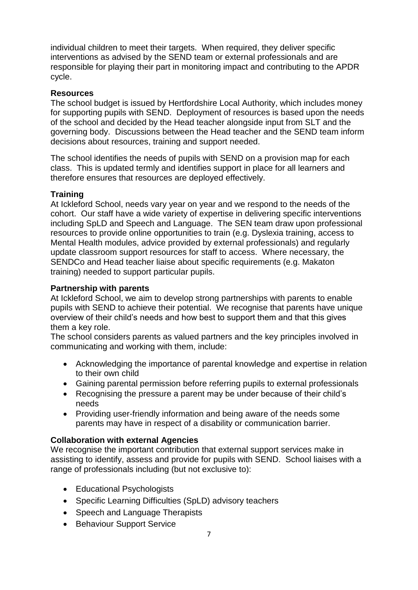individual children to meet their targets. When required, they deliver specific interventions as advised by the SEND team or external professionals and are responsible for playing their part in monitoring impact and contributing to the APDR cycle.

#### **Resources**

The school budget is issued by Hertfordshire Local Authority, which includes money for supporting pupils with SEND. Deployment of resources is based upon the needs of the school and decided by the Head teacher alongside input from SLT and the governing body. Discussions between the Head teacher and the SEND team inform decisions about resources, training and support needed.

The school identifies the needs of pupils with SEND on a provision map for each class. This is updated termly and identifies support in place for all learners and therefore ensures that resources are deployed effectively.

#### **Training**

At Ickleford School, needs vary year on year and we respond to the needs of the cohort. Our staff have a wide variety of expertise in delivering specific interventions including SpLD and Speech and Language. The SEN team draw upon professional resources to provide online opportunities to train (e.g. Dyslexia training, access to Mental Health modules, advice provided by external professionals) and regularly update classroom support resources for staff to access. Where necessary, the SENDCo and Head teacher liaise about specific requirements (e.g. Makaton training) needed to support particular pupils.

#### **Partnership with parents**

At Ickleford School, we aim to develop strong partnerships with parents to enable pupils with SEND to achieve their potential. We recognise that parents have unique overview of their child's needs and how best to support them and that this gives them a key role.

The school considers parents as valued partners and the key principles involved in communicating and working with them, include:

- Acknowledging the importance of parental knowledge and expertise in relation to their own child
- Gaining parental permission before referring pupils to external professionals
- Recognising the pressure a parent may be under because of their child's needs
- Providing user-friendly information and being aware of the needs some parents may have in respect of a disability or communication barrier.

#### **Collaboration with external Agencies**

We recognise the important contribution that external support services make in assisting to identify, assess and provide for pupils with SEND. School liaises with a range of professionals including (but not exclusive to):

- Educational Psychologists
- Specific Learning Difficulties (SpLD) advisory teachers
- Speech and Language Therapists
- Behaviour Support Service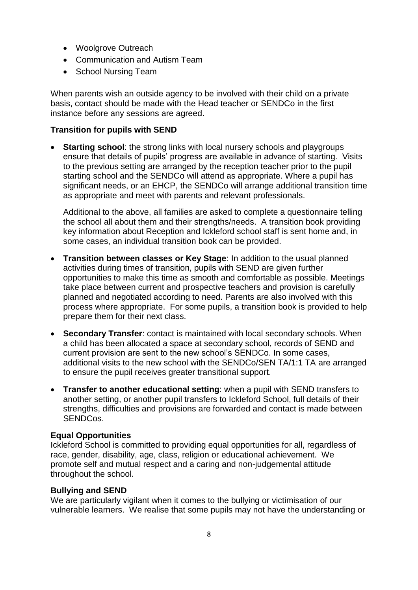- Woolgrove Outreach
- Communication and Autism Team
- School Nursing Team

When parents wish an outside agency to be involved with their child on a private basis, contact should be made with the Head teacher or SENDCo in the first instance before any sessions are agreed.

## **Transition for pupils with SEND**

 **Starting school**: the strong links with local nursery schools and playgroups ensure that details of pupils' progress are available in advance of starting. Visits to the previous setting are arranged by the reception teacher prior to the pupil starting school and the SENDCo will attend as appropriate. Where a pupil has significant needs, or an EHCP, the SENDCo will arrange additional transition time as appropriate and meet with parents and relevant professionals.

Additional to the above, all families are asked to complete a questionnaire telling the school all about them and their strengths/needs. A transition book providing key information about Reception and Ickleford school staff is sent home and, in some cases, an individual transition book can be provided.

- **Transition between classes or Key Stage**: In addition to the usual planned activities during times of transition, pupils with SEND are given further opportunities to make this time as smooth and comfortable as possible. Meetings take place between current and prospective teachers and provision is carefully planned and negotiated according to need. Parents are also involved with this process where appropriate. For some pupils, a transition book is provided to help prepare them for their next class.
- **Secondary Transfer**: contact is maintained with local secondary schools. When a child has been allocated a space at secondary school, records of SEND and current provision are sent to the new school's SENDCo. In some cases, additional visits to the new school with the SENDCo/SEN TA/1:1 TA are arranged to ensure the pupil receives greater transitional support.
- **Transfer to another educational setting**: when a pupil with SEND transfers to another setting, or another pupil transfers to Ickleford School, full details of their strengths, difficulties and provisions are forwarded and contact is made between SENDCos.

#### **Equal Opportunities**

Ickleford School is committed to providing equal opportunities for all, regardless of race, gender, disability, age, class, religion or educational achievement. We promote self and mutual respect and a caring and non-judgemental attitude throughout the school.

#### **Bullying and SEND**

We are particularly vigilant when it comes to the bullying or victimisation of our vulnerable learners. We realise that some pupils may not have the understanding or